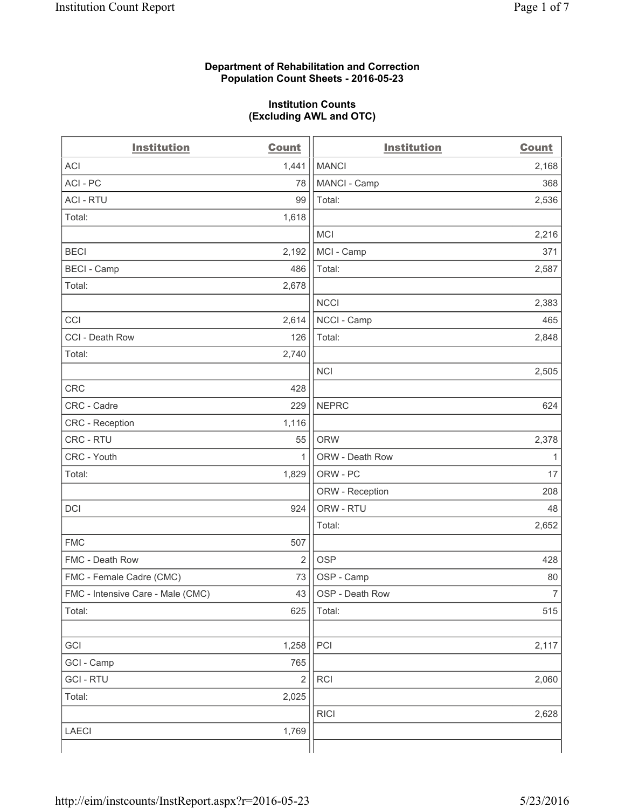### **Department of Rehabilitation and Correction Population Count Sheets - 2016-05-23**

### **Institution Counts (Excluding AWL and OTC)**

| <b>Institution</b>                | <b>Count</b>   | <b>Institution</b> | <b>Count</b>   |
|-----------------------------------|----------------|--------------------|----------------|
| <b>ACI</b>                        | 1,441          | <b>MANCI</b>       | 2,168          |
| ACI-PC                            | 78             | MANCI - Camp       | 368            |
| <b>ACI - RTU</b>                  | 99             | Total:             | 2,536          |
| Total:                            | 1,618          |                    |                |
|                                   |                | <b>MCI</b>         | 2,216          |
| <b>BECI</b>                       | 2,192          | MCI - Camp         | 371            |
| <b>BECI - Camp</b>                | 486            | Total:             | 2,587          |
| Total:                            | 2,678          |                    |                |
|                                   |                | <b>NCCI</b>        | 2,383          |
| CCI                               | 2,614          | NCCI - Camp        | 465            |
| CCI - Death Row                   | 126            | Total:             | 2,848          |
| Total:                            | 2,740          |                    |                |
|                                   |                | <b>NCI</b>         | 2,505          |
| <b>CRC</b>                        | 428            |                    |                |
| CRC - Cadre                       | 229            | <b>NEPRC</b>       | 624            |
| CRC - Reception                   | 1,116          |                    |                |
| CRC - RTU                         | 55             | <b>ORW</b>         | 2,378          |
| CRC - Youth                       | 1              | ORW - Death Row    | $\mathbf{1}$   |
| Total:                            | 1,829          | ORW - PC           | 17             |
|                                   |                | ORW - Reception    | 208            |
| DCI                               | 924            | ORW - RTU          | 48             |
|                                   |                | Total:             | 2,652          |
| <b>FMC</b>                        | 507            |                    |                |
| FMC - Death Row                   | $\overline{2}$ | <b>OSP</b>         | 428            |
| FMC - Female Cadre (CMC)          | 73             | OSP - Camp         | 80             |
| FMC - Intensive Care - Male (CMC) | 43             | OSP - Death Row    | $\overline{7}$ |
| Total:                            | 625            | Total:             | 515            |
|                                   |                |                    |                |
| GCI                               | 1,258          | PCI                | 2,117          |
| GCI - Camp                        | 765            |                    |                |
| <b>GCI-RTU</b>                    | $\overline{2}$ | RCI                | 2,060          |
| Total:                            | 2,025          |                    |                |
|                                   |                | <b>RICI</b>        | 2,628          |
| <b>LAECI</b>                      | 1,769          |                    |                |
|                                   |                |                    |                |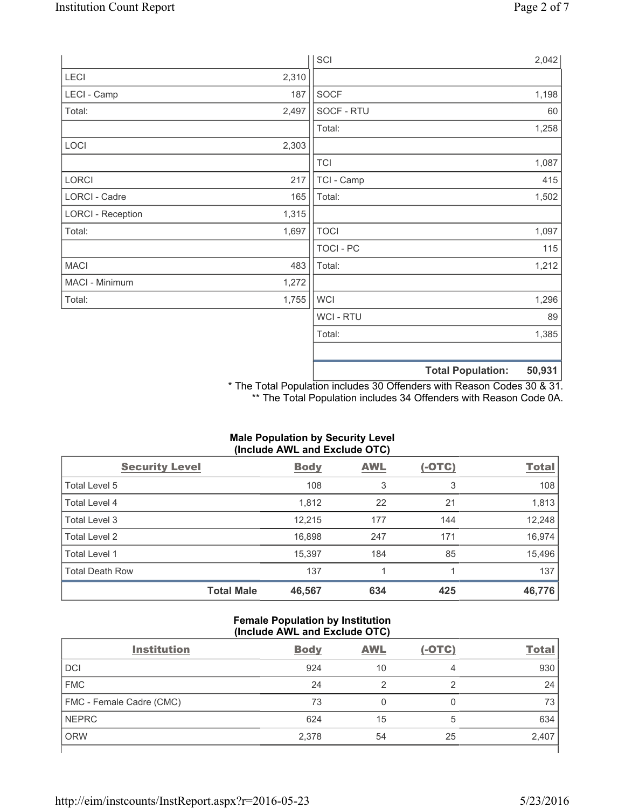|                          |       | SCI            |                          | 2,042  |
|--------------------------|-------|----------------|--------------------------|--------|
| LECI                     | 2,310 |                |                          |        |
| LECI - Camp              | 187   | SOCF           |                          | 1,198  |
| Total:                   | 2,497 | SOCF - RTU     |                          | 60     |
|                          |       | Total:         |                          | 1,258  |
| LOCI                     | 2,303 |                |                          |        |
|                          |       | <b>TCI</b>     |                          | 1,087  |
| LORCI                    | 217   | TCI - Camp     |                          | 415    |
| LORCI - Cadre            | 165   | Total:         |                          | 1,502  |
| <b>LORCI - Reception</b> | 1,315 |                |                          |        |
| Total:                   | 1,697 | <b>TOCI</b>    |                          | 1,097  |
|                          |       | TOCI - PC      |                          | 115    |
| <b>MACI</b>              | 483   | Total:         |                          | 1,212  |
| MACI - Minimum           | 1,272 |                |                          |        |
| Total:                   | 1,755 | <b>WCI</b>     |                          | 1,296  |
|                          |       | <b>WCI-RTU</b> |                          | 89     |
|                          |       | Total:         |                          | 1,385  |
|                          |       |                |                          |        |
|                          |       |                | <b>Total Population:</b> | 50,931 |

\* The Total Population includes 30 Offenders with Reason Codes 30 & 31. \*\* The Total Population includes 34 Offenders with Reason Code 0A.

# **Male Population by Security Level (Include AWL and Exclude OTC)**

| <b>Security Level</b>  |                   | <b>Body</b> | <b>AWL</b> | $(-OTC)$ | <b>Total</b> |
|------------------------|-------------------|-------------|------------|----------|--------------|
| Total Level 5          |                   | 108         | 3          | 3        | 108          |
| <b>Total Level 4</b>   |                   | 1,812       | 22         | 21       | 1,813        |
| Total Level 3          |                   | 12,215      | 177        | 144      | 12,248       |
| Total Level 2          |                   | 16,898      | 247        | 171      | 16,974       |
| <b>Total Level 1</b>   |                   | 15,397      | 184        | 85       | 15,496       |
| <b>Total Death Row</b> |                   | 137         |            |          | 137          |
|                        | <b>Total Male</b> | 46,567      | 634        | 425      | 46,776       |

### **Female Population by Institution (Include AWL and Exclude OTC)**

| <b>Institution</b>       | <b>Body</b> | <b>AWL</b> | $(-OTC)$ | <b>Total</b> |
|--------------------------|-------------|------------|----------|--------------|
| <b>DCI</b>               | 924         | 10         | 4        | 930          |
| <b>FMC</b>               | 24          |            | ာ        | 24           |
| FMC - Female Cadre (CMC) | 73          |            |          | 73           |
| <b>NEPRC</b>             | 624         | 15         | 5        | 634          |
| <b>ORW</b>               | 2,378       | 54         | 25       | 2,407        |
|                          |             |            |          |              |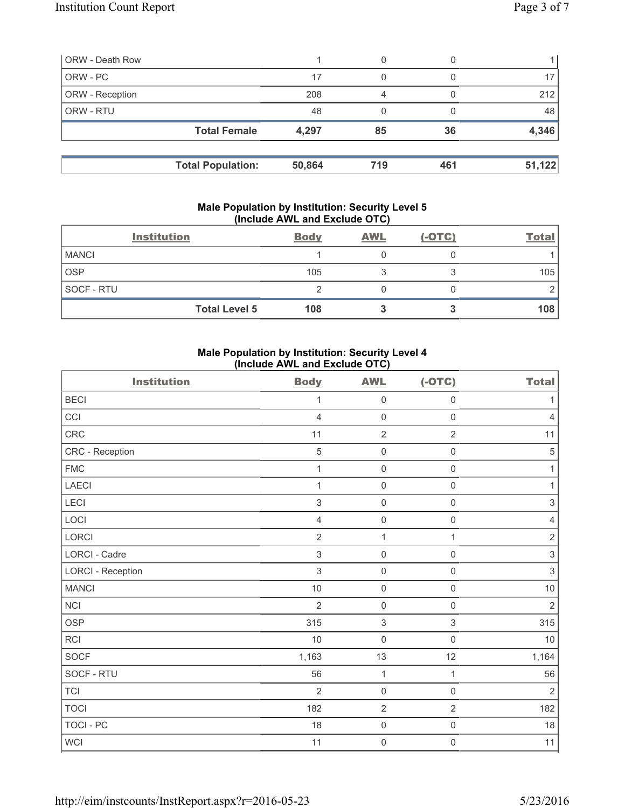| 0  |     |        |
|----|-----|--------|
|    |     |        |
| 4  |     | 212    |
|    |     | 48     |
| 85 | 36  | 4,346  |
|    |     | 51,122 |
|    | 719 | 461    |

### **Male Population by Institution: Security Level 5 (Include AWL and Exclude OTC)**

| <b>Institution</b> |                      | <b>Body</b> | <b>AWL</b> | $(-OTC)$ | <b>Total</b> |
|--------------------|----------------------|-------------|------------|----------|--------------|
| <b>MANCI</b>       |                      |             |            |          |              |
| <b>OSP</b>         |                      | 105         |            |          | 105          |
| SOCF - RTU         |                      |             |            |          |              |
|                    | <b>Total Level 5</b> | 108         |            |          | 108          |

# **Male Population by Institution: Security Level 4 (Include AWL and Exclude OTC)**

| <b>Institution</b>       | <b>Body</b>    | <b>AWL</b>          | $(-OTC)$            | <b>Total</b>   |
|--------------------------|----------------|---------------------|---------------------|----------------|
| <b>BECI</b>              | 1              | $\mathsf{O}\xspace$ | $\mathsf 0$         | $\mathbf{1}$   |
| CCI                      | $\overline{4}$ | $\mathsf{O}\xspace$ | $\mathsf{O}\xspace$ | $\overline{4}$ |
| CRC                      | 11             | $\overline{2}$      | $\overline{2}$      | 11             |
| CRC - Reception          | $\overline{5}$ | $\mathsf{O}\xspace$ | $\mathsf{O}\xspace$ | $\sqrt{5}$     |
| <b>FMC</b>               | 1              | $\mathbf 0$         | $\mathbf 0$         | 1              |
| <b>LAECI</b>             | 1              | $\mathsf 0$         | $\mathsf 0$         | 1              |
| <b>LECI</b>              | $\sqrt{3}$     | $\mathsf{O}\xspace$ | $\mathsf{O}\xspace$ | $\,$ 3 $\,$    |
| LOCI                     | $\overline{4}$ | $\mathsf{O}\xspace$ | 0                   | 4              |
| LORCI                    | $\overline{2}$ | $\mathbf{1}$        | $\mathbf{1}$        | $\sqrt{2}$     |
| <b>LORCI - Cadre</b>     | $\sqrt{3}$     | $\mathsf{O}\xspace$ | $\mathsf 0$         | $\,$ 3 $\,$    |
| <b>LORCI - Reception</b> | 3              | $\mathsf{O}\xspace$ | $\mathsf{O}\xspace$ | $\,$ 3 $\,$    |
| <b>MANCI</b>             | 10             | $\mathsf{O}\xspace$ | $\mathsf 0$         | 10             |
| <b>NCI</b>               | $\overline{2}$ | $\mathsf{O}\xspace$ | $\mathsf 0$         | $\overline{2}$ |
| <b>OSP</b>               | 315            | $\sqrt{3}$          | 3                   | 315            |
| <b>RCI</b>               | 10             | $\mathbf 0$         | $\mathbf 0$         | 10             |
| <b>SOCF</b>              | 1,163          | 13                  | 12                  | 1,164          |
| SOCF - RTU               | 56             | $\mathbf{1}$        | $\mathbf{1}$        | 56             |
| <b>TCI</b>               | $\overline{2}$ | $\mathsf{O}\xspace$ | $\mathsf 0$         | $\overline{2}$ |
| <b>TOCI</b>              | 182            | $\overline{2}$      | $\overline{2}$      | 182            |
| <b>TOCI - PC</b>         | 18             | $\mathsf{O}\xspace$ | $\mathsf{O}\xspace$ | 18             |
| WCI                      | 11             | $\mathbf 0$         | $\mathsf{O}\xspace$ | 11             |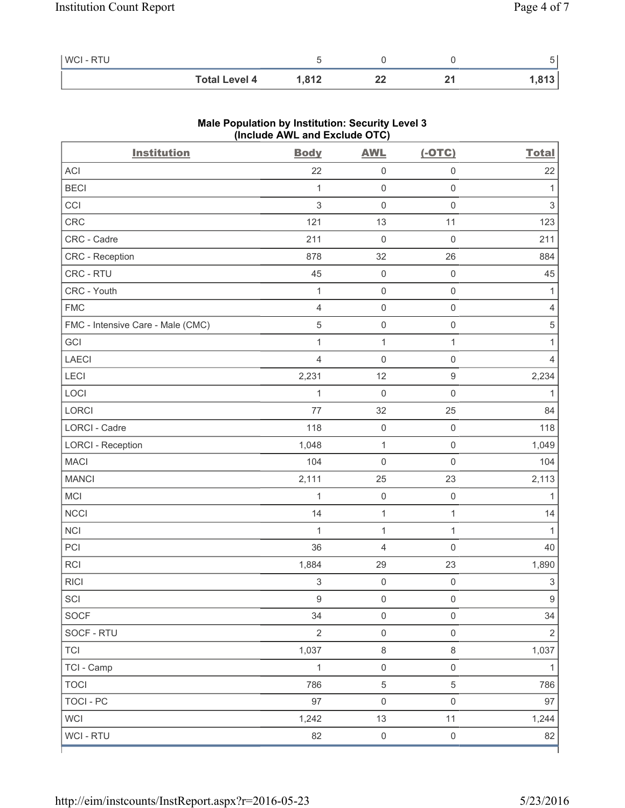| <b>WCI-RTU</b> |                      |       |    |       |
|----------------|----------------------|-------|----|-------|
|                | <b>Total Level 4</b> | 1,812 | 44 | - 942 |

| <b>Institution</b>                | $(III$ CIUDE AVE and EXCIUDE $O(O)$<br><b>Body</b> | <b>AWL</b>          | $(-OTC)$            | <b>Total</b>              |
|-----------------------------------|----------------------------------------------------|---------------------|---------------------|---------------------------|
| ACI                               | 22                                                 | 0                   | $\mathsf 0$         | 22                        |
| <b>BECI</b>                       | $\mathbf{1}$                                       | $\mathsf{O}\xspace$ | $\mathsf{O}\xspace$ | 1                         |
| CCI                               | $\mathsf 3$                                        | $\mathsf{O}\xspace$ | $\mathbf 0$         | $\ensuremath{\mathsf{3}}$ |
| CRC                               | 121                                                | 13                  | 11                  | 123                       |
| CRC - Cadre                       | 211                                                | $\mathsf{O}\xspace$ | $\mathsf 0$         | 211                       |
| CRC - Reception                   | 878                                                | 32                  | 26                  | 884                       |
| CRC - RTU                         | 45                                                 | $\mathsf{O}\xspace$ | $\mathsf 0$         | 45                        |
| CRC - Youth                       | 1                                                  | $\mathsf{O}\xspace$ | $\mathsf 0$         | 1                         |
| <b>FMC</b>                        | $\overline{4}$                                     | $\mathsf{O}\xspace$ | $\mathsf 0$         | 4                         |
| FMC - Intensive Care - Male (CMC) | $\sqrt{5}$                                         | $\mathsf 0$         | $\mathsf{O}\xspace$ | $\sqrt{5}$                |
| GCI                               | 1                                                  | $\mathbf{1}$        | $\mathbf{1}$        | 1                         |
| <b>LAECI</b>                      | $\overline{4}$                                     | $\mathsf 0$         | $\mathsf 0$         | $\overline{4}$            |
| LECI                              | 2,231                                              | 12                  | $\mathsf g$         | 2,234                     |
| LOCI                              | $\mathbf{1}$                                       | $\mathsf{O}\xspace$ | $\mathsf 0$         | 1                         |
| LORCI                             | 77                                                 | 32                  | 25                  | 84                        |
| LORCI - Cadre                     | 118                                                | $\mathsf{O}\xspace$ | $\mathsf 0$         | 118                       |
| <b>LORCI - Reception</b>          | 1,048                                              | $\mathbf{1}$        | $\mathsf 0$         | 1,049                     |
| <b>MACI</b>                       | 104                                                | 0                   | $\mathbf 0$         | 104                       |
| <b>MANCI</b>                      | 2,111                                              | 25                  | 23                  | 2,113                     |
| MCI                               | 1                                                  | $\mathsf 0$         | $\mathsf{O}\xspace$ | 1                         |
| <b>NCCI</b>                       | 14                                                 | $\mathbf{1}$        | $\mathbf{1}$        | 14                        |
| <b>NCI</b>                        | $\mathbf{1}$                                       | $\mathbf{1}$        | $\mathbf{1}$        | 1                         |
| PCI                               | 36                                                 | 4                   | $\mathbf 0$         | 40                        |
| RCI                               | 1,884                                              | 29                  | 23                  | 1,890                     |
| <b>RICI</b>                       | $\,$ 3 $\,$                                        | $\mathsf 0$         | $\mathsf{O}\xspace$ | $\ensuremath{\mathsf{3}}$ |
| SCI                               | $\boldsymbol{9}$                                   | $\mathsf 0$         | $\mathsf 0$         | $\boldsymbol{9}$          |
| SOCF                              | 34                                                 | $\mathsf{O}\xspace$ | $\mathsf{O}\xspace$ | 34                        |
| SOCF - RTU                        | $\overline{2}$                                     | $\mathsf{O}\xspace$ | $\mathsf{O}\xspace$ | $\sqrt{2}$                |
| <b>TCI</b>                        | 1,037                                              | $\,8\,$             | $\,8\,$             | 1,037                     |
| TCI - Camp                        | $\mathbf{1}$                                       | $\mathsf{O}\xspace$ | $\mathsf{O}\xspace$ | $\mathbf{1}$              |
| <b>TOCI</b>                       | 786                                                | $\,$ 5 $\,$         | $\sqrt{5}$          | 786                       |
| <b>TOCI - PC</b>                  | 97                                                 | $\mathsf 0$         | $\mathsf 0$         | 97                        |
| <b>WCI</b>                        | 1,242                                              | 13                  | 11                  | 1,244                     |
| WCI - RTU                         | 82                                                 | $\mathsf{O}\xspace$ | $\mathsf{O}\xspace$ | 82                        |

# **Male Population by Institution: Security Level 3 (Include AWL and Exclude OTC)**

ľ

٦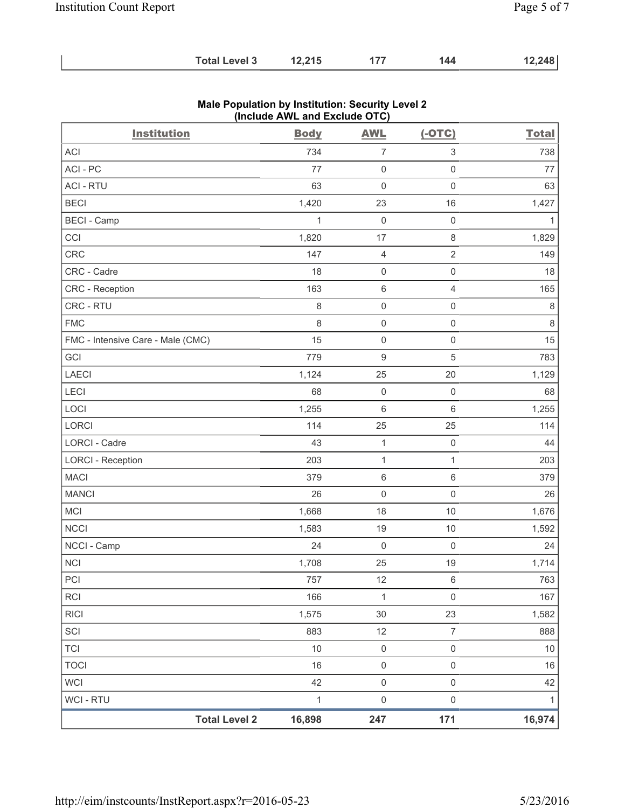| <b>Total Level 3</b> | 12,215 | 177 | 144 | 12,248 |
|----------------------|--------|-----|-----|--------|
|----------------------|--------|-----|-----|--------|

| <b>Institution</b>                | $\frac{1}{2}$<br><b>Body</b> | <b>AWL</b>          | $(-OTC)$                 | <b>Total</b> |
|-----------------------------------|------------------------------|---------------------|--------------------------|--------------|
| <b>ACI</b>                        | 734                          | 7                   | 3                        | 738          |
| ACI - PC                          | 77                           | $\boldsymbol{0}$    | $\mathbf 0$              | 77           |
| <b>ACI - RTU</b>                  | 63                           | 0                   | $\mathsf 0$              | 63           |
| <b>BECI</b>                       | 1,420                        | 23                  | 16                       | 1,427        |
| <b>BECI - Camp</b>                | 1                            | $\mathsf{O}\xspace$ | $\mathsf{O}\xspace$      | 1            |
| CCI                               | 1,820                        | 17                  | $\,8\,$                  | 1,829        |
| CRC                               | 147                          | 4                   | $\overline{2}$           | 149          |
| CRC - Cadre                       | 18                           | 0                   | $\mathsf 0$              | 18           |
| <b>CRC</b> - Reception            | 163                          | 6                   | $\overline{4}$           | 165          |
| CRC - RTU                         | 8                            | $\mathsf 0$         | $\mathsf 0$              | $\,8\,$      |
| <b>FMC</b>                        | 8                            | $\mathsf{O}\xspace$ | $\mathsf{O}\xspace$      | $\,8\,$      |
| FMC - Intensive Care - Male (CMC) | 15                           | $\mathsf{O}\xspace$ | $\mathsf 0$              | 15           |
| GCI                               | 779                          | 9                   | $\sqrt{5}$               | 783          |
| <b>LAECI</b>                      | 1,124                        | 25                  | 20                       | 1,129        |
| LECI                              | 68                           | $\mathsf{O}\xspace$ | $\mathsf{O}\xspace$      | 68           |
| LOCI                              | 1,255                        | 6                   | $\,6\,$                  | 1,255        |
| LORCI                             | 114                          | 25                  | 25                       | 114          |
| <b>LORCI - Cadre</b>              | 43                           | 1                   | $\mathsf{O}\xspace$      | 44           |
| <b>LORCI - Reception</b>          | 203                          | $\mathbf{1}$        | $\mathbf{1}$             | 203          |
| <b>MACI</b>                       | 379                          | $\,6$               | $\,6\,$                  | 379          |
| <b>MANCI</b>                      | 26                           | $\mathsf{O}\xspace$ | $\mathsf{O}\xspace$      | 26           |
| <b>MCI</b>                        | 1,668                        | 18                  | $10$                     | 1,676        |
| <b>NCCI</b>                       | 1,583                        | 19                  | 10                       | 1,592        |
| NCCI - Camp                       | 24                           | 0                   | $\mathsf{O}\xspace$      | 24           |
| NCI                               | 1,708                        | 25                  | 19                       | 1,714        |
| PCI                               | 757                          | 12                  | 6                        | 763          |
| <b>RCI</b>                        | 166                          | $\mathbf{1}$        | $\mathbf 0$              | 167          |
| <b>RICI</b>                       | 1,575                        | 30                  | 23                       | 1,582        |
| SCI                               | 883                          | 12                  | $\overline{\mathcal{I}}$ | 888          |
| <b>TCI</b>                        | $10$                         | $\mathsf{O}\xspace$ | $\mathsf 0$              | $10$         |
| <b>TOCI</b>                       | 16                           | $\mathsf{O}\xspace$ | $\mathsf 0$              | 16           |
| <b>WCI</b>                        | 42                           | $\mathsf{O}\xspace$ | $\mathbf 0$              | 42           |
| <b>WCI - RTU</b>                  | $\mathbf{1}$                 | $\mathsf{O}\xspace$ | $\mathsf{O}\xspace$      | $\mathbf{1}$ |
| <b>Total Level 2</b>              | 16,898                       | 247                 | 171                      | 16,974       |

# **Male Population by Institution: Security Level 2 (Include AWL and Exclude OTC)**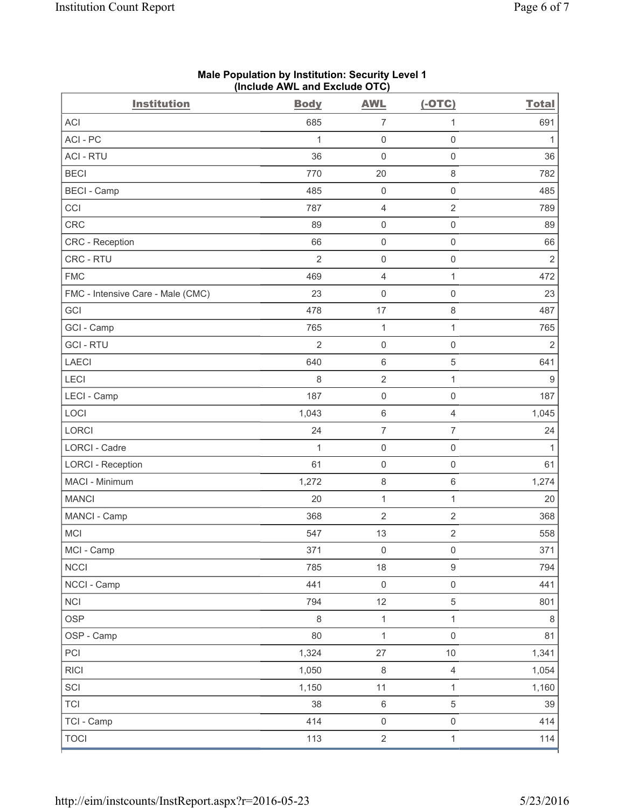| <b>Institution</b>                | <b>Body</b>    | <b>AWL</b>               | $(-OTC)$            | <b>Total</b>     |
|-----------------------------------|----------------|--------------------------|---------------------|------------------|
| <b>ACI</b>                        | 685            | $\overline{7}$           | $\mathbf{1}$        | 691              |
| ACI-PC                            | $\mathbf{1}$   | $\boldsymbol{0}$         | $\mathsf{O}\xspace$ | 1                |
| <b>ACI - RTU</b>                  | 36             | $\mathsf 0$              | $\mathsf 0$         | 36               |
| <b>BECI</b>                       | 770            | 20                       | $\,8\,$             | 782              |
| <b>BECI</b> - Camp                | 485            | $\boldsymbol{0}$         | $\mathbf 0$         | 485              |
| CCI                               | 787            | 4                        | $\overline{2}$      | 789              |
| <b>CRC</b>                        | 89             | 0                        | $\mathsf{O}\xspace$ | 89               |
| <b>CRC</b> - Reception            | 66             | $\mathsf{O}\xspace$      | $\mathsf 0$         | 66               |
| CRC - RTU                         | $\overline{2}$ | $\mathsf{O}\xspace$      | $\mathsf 0$         | $\mathbf 2$      |
| <b>FMC</b>                        | 469            | 4                        | $\mathbf{1}$        | 472              |
| FMC - Intensive Care - Male (CMC) | 23             | 0                        | $\mathsf{O}\xspace$ | 23               |
| GCI                               | 478            | 17                       | $\,8\,$             | 487              |
| GCI - Camp                        | 765            | $\mathbf{1}$             | $\mathbf{1}$        | 765              |
| <b>GCI-RTU</b>                    | $\overline{2}$ | $\boldsymbol{0}$         | $\mathsf{O}\xspace$ | $\overline{2}$   |
| <b>LAECI</b>                      | 640            | 6                        | $\sqrt{5}$          | 641              |
| LECI                              | 8              | $\overline{2}$           | $\mathbf{1}$        | $\boldsymbol{9}$ |
| LECI - Camp                       | 187            | $\boldsymbol{0}$         | $\mathbf 0$         | 187              |
| LOCI                              | 1,043          | 6                        | $\overline{4}$      | 1,045            |
| LORCI                             | 24             | $\overline{\mathcal{I}}$ | 7                   | 24               |
| <b>LORCI - Cadre</b>              | $\mathbf{1}$   | $\mathsf 0$              | $\mathsf 0$         | 1                |
| <b>LORCI - Reception</b>          | 61             | 0                        | $\mathsf 0$         | 61               |
| MACI - Minimum                    | 1,272          | 8                        | $\,6\,$             | 1,274            |
| <b>MANCI</b>                      | 20             | $\mathbf{1}$             | $\mathbf{1}$        | 20               |
| MANCI - Camp                      | 368            | $\sqrt{2}$               | $\sqrt{2}$          | 368              |
| <b>MCI</b>                        | 547            | 13                       | $\sqrt{2}$          | 558              |
| MCI - Camp                        | 371            | $\mathsf{O}\xspace$      | $\mathsf{O}\xspace$ | 371              |
| <b>NCCI</b>                       | 785            | 18                       | $\boldsymbol{9}$    | 794              |
| NCCI - Camp                       | 441            | $\mathsf{O}\xspace$      | $\mathsf 0$         | 441              |
| <b>NCI</b>                        | 794            | 12                       | $\sqrt{5}$          | 801              |
| <b>OSP</b>                        | $\,8\,$        | $\mathbf{1}$             | $\mathbf{1}$        | $\,8\,$          |
| OSP - Camp                        | 80             | $\mathbf 1$              | $\mathsf 0$         | 81               |
| PCI                               | 1,324          | 27                       | 10                  | 1,341            |
| <b>RICI</b>                       | 1,050          | $\,8\,$                  | $\overline{4}$      | 1,054            |
| SCI                               | 1,150          | 11                       | $\mathbf{1}$        | 1,160            |
| <b>TCI</b>                        | 38             | $\,6\,$                  | $\,$ 5 $\,$         | 39               |
| TCI - Camp                        | 414            | $\mathsf{O}\xspace$      | $\mathsf{O}\xspace$ | 414              |
| <b>TOCI</b>                       | 113            | $\overline{2}$           | $\mathbf{1}$        | 114              |

### **Male Population by Institution: Security Level 1 (Include AWL and Exclude OTC)**